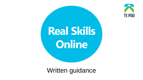

# **Real Skills Online**

Written guidance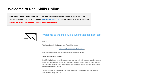# **Welcome to Real Skills Online**

Real Skills Online Champion's will sign up their organisation's employees to Real Skills Online. You will receive an automated email from realskills@tepou.co.nz inviting you join to Real Skills Online. Follow the link in this email to access Real Skills Online.



### Welcome to the Real Skills Online assessment tool

Kia ora

You have been invited you to join Real Skills Online.

Click here to enter Real Skills Online.

Use this link any time you want to access Real Skills Online.

### What is Real Skills Online?

Real Skills Online is a workforce development tool with self-assessments for anyone working in the health and disability sectors to develop the knowledge, skills, values and attitudes when working with disabled people or people and whānau with mental health and addiction needs.

You can track your knowledge and skills in several frameworks, such as Let's get real. It's free, easy and fun!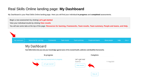# Real Skills Online landing page: **My Dashboard**

My Dashboard is your Real Skills Online landing page. Here you will find your individual **in progress** and **completed** assessments.

Begin a new assessment by clicking **Let's get started**

View your individual results by clicking **View results**

You will see some tabs at the top of the page: **Resources for learning, Frameworks, Team results, Team summary, People and teams, and Help.** 



View all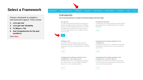# **Select a Framework**

Choose a framework to complete a self-assessment against. These include:

- *1. Let's get real*
- *2. Let's get real:* **Disability**
- **3. Te Whare o Tiki**
- **4. And Competencies for the peer workforce**

Click **Start.**

My Dashboard Resources for Learning

Frameworks

### Frameworks

Here are the frameworks you can complete a self-assessment against. Click Start to begin.

### Let's get real

The Let's get real framework describes the essential values, attitudes, knowledge and skills we need to deliver effective services in partnership with people who have mental health and addiction needs, wherever and whenever they are in contact with health services. As such it applies to everyone working in health.



### Let's get real: Disability

An assessment of the essential knowledge and skills needed to deliver quality services to disabled people, and their families and whänau.



### Te Whare o Tiki

An assessment of the knowledge and skills required to effectively respond to the needs of people with co-existing mental health and addiction problems, and their families and whānau.



Competencies for the peer workforce: Core competencies + Peer support work

An assessment of the ten core competencies necessary for peer support workers in the mental health and addiction service user, consumer and peer workforce.



### Competencies for the peer workforce: Core competencies

An assessment of the seven core competencies necessary for the mental health and addiction service user, consumer and peer workforce.



### Competencies for the peer workforce: Core competencies + Consumer advisors

An assessment of the ten core competencies necessary for consumer advisors in the mental health and addiction service user, consumer and peer workforce.

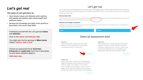# *Let's get real*

### **The intent of** *Let's get real* **is to:**

- have shared values and attitudes when working with people and whānau with mental health and addiction needs.
- develop the knowledge and skills of the workforce described in the seven Real Skills.

Familiarise yourself with the *Let's get real* **values**  and **attitudes**.

Click on the **values** and **attitudes** tabs

You might also find the glossary of **Māori terms**  helpful **"click to view it now".**

Choose an assessment level: **Essential, Enhanced or Leadership.** Each has a description for who these indicators apply to.

Click **Start now.**

# Let's get real

The Let's get real framework describes the essential values, attitudes, knowledge and skills we need to deliver effective services in partnership with people who have mental health and addiction needs, wherever and whenever they are in contact with health services. As such it applies to everyone working in health.

### **Before you get started**

Familiarise yourself with the Let's get real values and attitudes by eltering on the buttons below. You might also find the glossary of Mãori terms helpful. You can go this at anytime from the drop down menu,  $\oint r$  click to view it now.

### Select your level to begin an assessment

Now begin your assessment by selecting from the three levels below. We recommend starting at the Essential level before completing other levels based on your work role and experience.

### Values

**Attitudes** 

## Select an assessment level

### Essential

These indicators apply to everyone working in health regardless of context, organisation, role or profession, including people working in voluntary roles.



### Enhanced

These indicators build on and are additional to the essential indicators. They apply to everyone working in mental health and addiction support work and clinical roles, and others who want to further develop their skills to work effectively with people experiencing mental health and addiction needs.

Start now

### Leadership

These indicators apply to everyone who is leading, guiding, supporting, educating and resourcing the work of others in health: for example, clinical directors, senior clinicians, portfolio managers, service managers, consumer and peer leaders, mentors, educators, professional advisors, general managers, team leaders, chief executives and board members.

Start now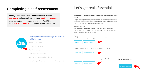# **Completing a self-assessment**

Identify areas of the seven Real Skills where you are competent and areas where you might need development.

After completing your assessment of each Real Skill, click Save and continue to move onto the next Real Skill.

> **Seven Real Skills**

### Working with people experiencing mental health and addiction needs

Working with Māori

Working with whānau

Working within communities

Challenging discrimination

Applying law, policy and standards

Maintaining professional and personal development

# Let's get real > Essential

### Working with people experiencing mental health and addiction needs

Everyone working in health engages meaningfully and works in partnership with people who experience mental health and addiction needs, and focuses on the person's strengths to support wellbeing and recovery.

### Expected outcome

People accessing health care have their mana protected and enhanced, experience respect, engage in shared decision-making and receive support to achieve their health and wellbeing goals.

### Engagement

Warmly welcomes and appropriately greets people and whanau accessing services



Establishes a connection and rapport with people accessing services



Invites people accessing services to bring support person/people





**Save and continue**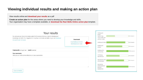# **Viewing individual results and making an action plan**

View results online and **download your results** as a pdf

**Create an action plan** for the areas where you need to develop your knowledge and skills. Your organisation may have a template available, or **download the Real Skills Online action plan** template.

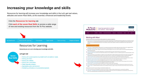# Increasing your knowledge and skills

Resources for learning will increase your knowledge and skills in the Let's get real values, attitudes and seven Real Skills, at the essential, enhanced and leadership levels.





### Complete Working with Maori e-learning

- Te Kete Ararau is an app developed by Oranga Tamariki. It is an interactive learning resource intended to support day-to-day mahi (work) when engaging with Māori young people and their families. The app includes pronunciation of vowels, greetings and iwi, as well as examples of karakia and waiata
- Te Taura Whiri i te Reo Māori (Māori Language Commission) website provides language resources such as posters, booklets and wallet cards about Māori greetings, phrases and pronunciation
- Te Kähui Mängai (Directory of Iwi and Māori Organisations) is an online tool used to find out basic information about iwi, hapū and marae.
- Kaitakawaenga (Māori liaison) video from the Health Quality & Safety Commission highlights the importance of establishing rapport and understanding Māori customs in health services.
- Whānau Ora information and contact details are available on the Te Puni Kōkiri (Ministry of Māori Development) website. Whānau Ora providers and initiatives help connect whänau with appropriate services and support to achieve better outcomes in a range of areas including health, education, housing and employment.
- Te Whare Tapa Whā section on the Ministry of Health's website provides a brief overview of this Maori model of health developed by Sir Mason Durie.
- He Korowai Oranga Māori Health Strategy sets the overarching framework that guides health and disability services to achieve the best health outcomes for Māori.
- Rongoā Māori: Traditional Māori healing on the Ministry of Health's website provides a list of funded rongoā Māori providers across Aotearoa.
- Waka Huia spotlight on Moe Milne is a video that highlights the importance of te reo Māori and cultural identity in wellbeing
- Like Minds: Wairua spirituality is a video from Like Minds, Like Mine that explains the concept of wairua and its importance to Māori tāngata whai ora and whānau. Waka Huia spotlight on Dr Aroha Yates-Smith also highlights the importance of wairua for Māori.
- 100 Mäori leaders in mental health showcases key people who have made an impact on Mäori mental health
- Te Au is the National Māori Suicide Prevention Centre of Aotearoa. The website provides information about Māori suicide prevention initiatives across the country.
- Depression.org.nz is a website for people and whānau who are looking for information or support. It features informative videos from Māori clinicians and kaumatua advice.

### Enhanced level resources for everyone working in mental health and addiction roles

- Te Rau Ora provide resources that highlight the importance of te reo Māori, te ao Māori, and Māori models of practice in mental health and addiction.
- Figure Reo Hapai The Language of Enrichment by Keri Opai provides a collection of Maori words and terms that adequately and accurately reflect the best use of te reo Māori in the mental health, addiction and disability sectors now and into the future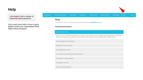# **Help**

Click Help to find a number of frequently asked questions.

If you need some help or have a query, please contact your organisations Real Skills Online Champion.



### Help

If you need some help or have a query about this website, please contact **realskills@tepou.co.nz**.

### **Frequently asked questions**

### What is Real Skills Online?

Real Skills Online is a workforce development tool, created by Te Pou Limited. It has been designed using existing competency frameworks to help readily identify areas individuals and the wider workforce need to develop to enhance engagement with tāngata whai ora.

Why assess against these frameworks?

What should I do with my results?

Can managers see my results?

For the Let's get real frameworks, which level should I do?

What happens if I switch employers?

The webpage looks weird!

Why can't I see the reports tab?